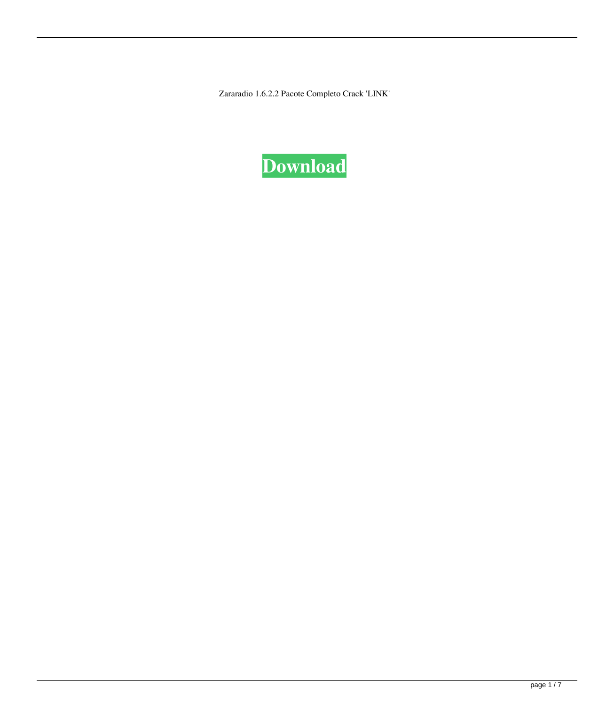Zararadio 1.6.2.2 Pacote Completo Crack 'LINK'

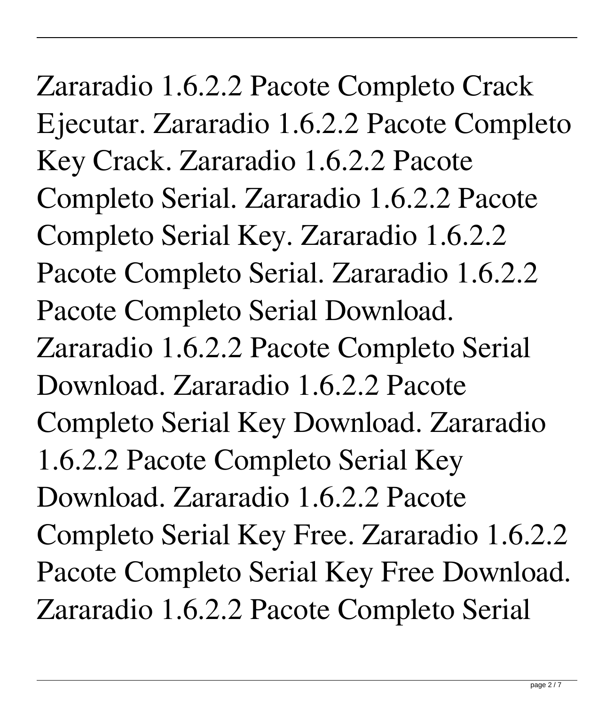Zararadio 1.6.2.2 Pacote Completo Crack Ejecutar. Zararadio 1.6.2.2 Pacote Completo Key Crack. Zararadio 1.6.2.2 Pacote Completo Serial. Zararadio 1.6.2.2 Pacote Completo Serial Key. Zararadio 1.6.2.2 Pacote Completo Serial. Zararadio 1.6.2.2 Pacote Completo Serial Download. Zararadio 1.6.2.2 Pacote Completo Serial Download. Zararadio 1.6.2.2 Pacote Completo Serial Key Download. Zararadio 1.6.2.2 Pacote Completo Serial Key Download. Zararadio 1.6.2.2 Pacote Completo Serial Key Free. Zararadio 1.6.2.2 Pacote Completo Serial Key Free Download. Zararadio 1.6.2.2 Pacote Completo Serial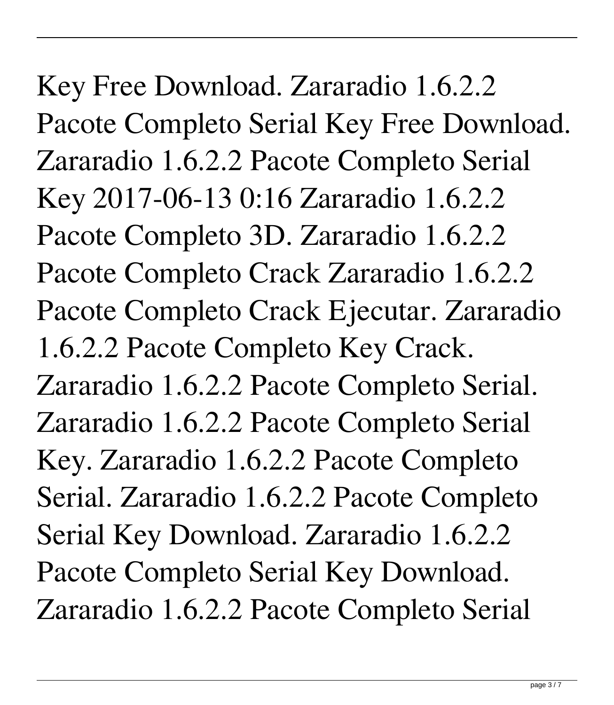Key Free Download. Zararadio 1.6.2.2 Pacote Completo Serial Key Free Download. Zararadio 1.6.2.2 Pacote Completo Serial Key 2017-06-13 0:16 Zararadio 1.6.2.2 Pacote Completo 3D. Zararadio 1.6.2.2 Pacote Completo Crack Zararadio 1.6.2.2 Pacote Completo Crack Ejecutar. Zararadio 1.6.2.2 Pacote Completo Key Crack. Zararadio 1.6.2.2 Pacote Completo Serial. Zararadio 1.6.2.2 Pacote Completo Serial Key. Zararadio 1.6.2.2 Pacote Completo Serial. Zararadio 1.6.2.2 Pacote Completo Serial Key Download. Zararadio 1.6.2.2 Pacote Completo Serial Key Download. Zararadio 1.6.2.2 Pacote Completo Serial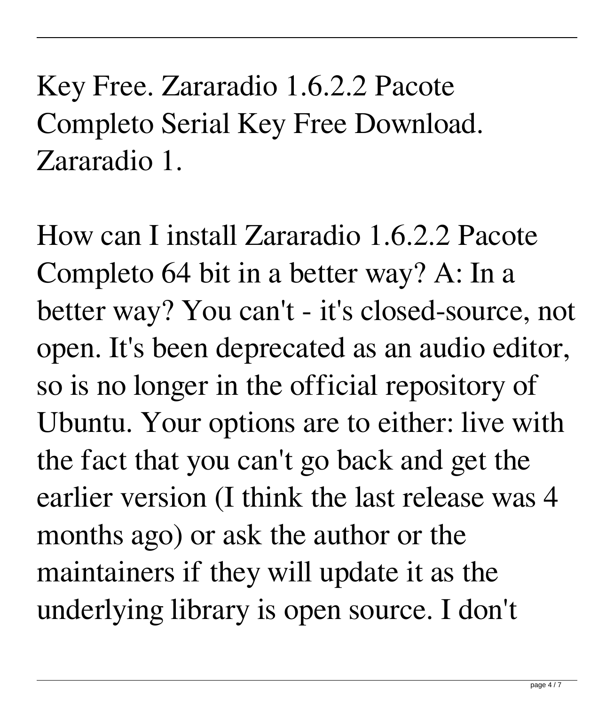Key Free. Zararadio 1.6.2.2 Pacote Completo Serial Key Free Download. Zararadio 1.

How can I install Zararadio 1.6.2.2 Pacote Completo 64 bit in a better way? A: In a better way? You can't - it's closed-source, not open. It's been deprecated as an audio editor, so is no longer in the official repository of Ubuntu. Your options are to either: live with the fact that you can't go back and get the earlier version (I think the last release was 4 months ago) or ask the author or the maintainers if they will update it as the underlying library is open source. I don't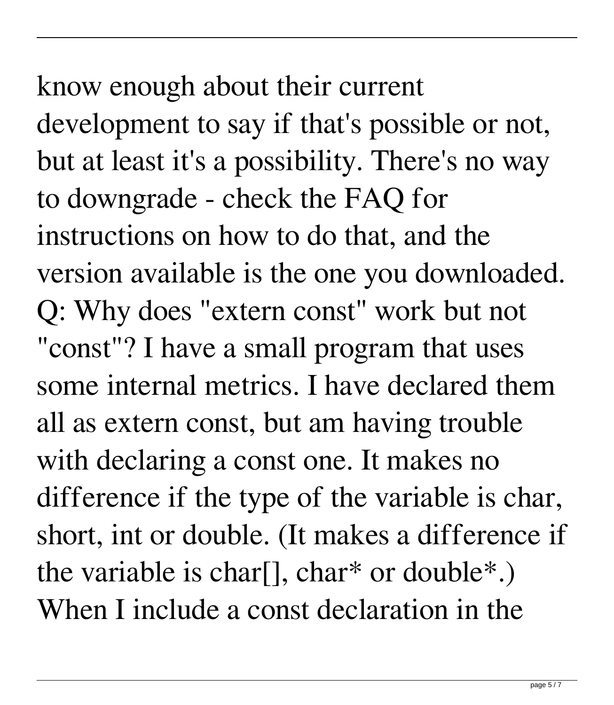know enough about their current development to say if that's possible or not, but at least it's a possibility. There's no way to downgrade - check the FAQ for instructions on how to do that, and the version available is the one you downloaded. Q: Why does "extern const" work but not "const"? I have a small program that uses some internal metrics. I have declared them all as extern const, but am having trouble with declaring a const one. It makes no difference if the type of the variable is char, short, int or double. (It makes a difference if the variable is charl, char<sup>\*</sup> or double<sup>\*</sup>.)

When I include a const declaration in the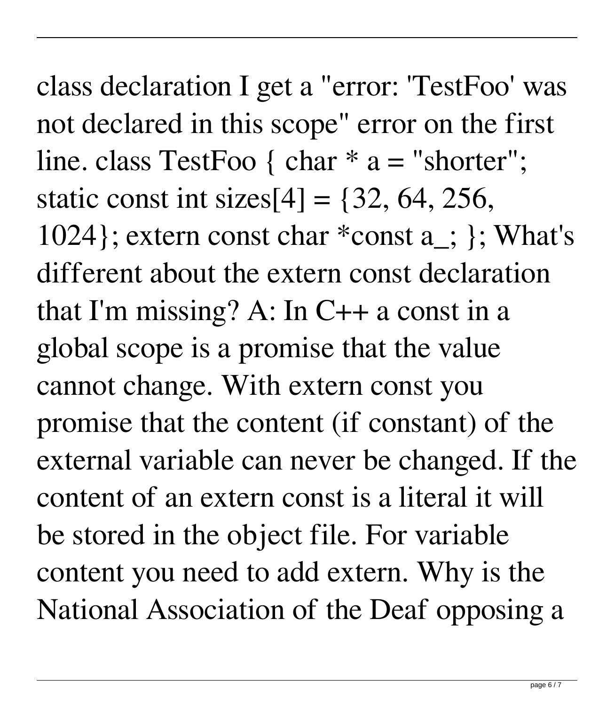class declaration I get a "error: 'TestFoo' was not declared in this scope" error on the first line. class TestFoo { char  $* a =$  "shorter"; static const int sizes $[4] = \{32, 64, 256,$ 1024}; extern const char \*const a\_; }; What's different about the extern const declaration that I'm missing? A: In C++ a const in a global scope is a promise that the value cannot change. With extern const you promise that the content (if constant) of the external variable can never be changed. If the content of an extern const is a literal it will be stored in the object file. For variable content you need to add extern. Why is the National Association of the Deaf opposing a